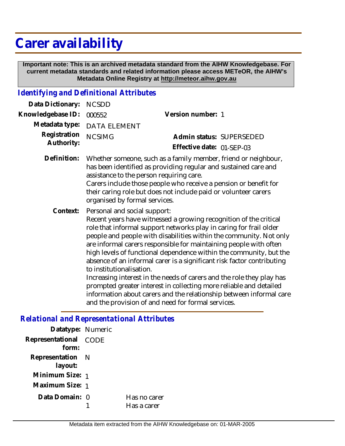## **Carer availability**

 **Important note: This is an archived metadata standard from the AIHW Knowledgebase. For current metadata standards and related information please access METeOR, the AIHW's Metadata Online Registry at http://meteor.aihw.gov.au**

## *Identifying and Definitional Attributes*

| Data Dictionary:           | <b>NCSDD</b>                                                                                                                                                                                                                                                                                                                                                                                                                                                                                                                                                                                                                                                                                                                                                               |                           |  |
|----------------------------|----------------------------------------------------------------------------------------------------------------------------------------------------------------------------------------------------------------------------------------------------------------------------------------------------------------------------------------------------------------------------------------------------------------------------------------------------------------------------------------------------------------------------------------------------------------------------------------------------------------------------------------------------------------------------------------------------------------------------------------------------------------------------|---------------------------|--|
| Knowledgebase ID:          | 000552                                                                                                                                                                                                                                                                                                                                                                                                                                                                                                                                                                                                                                                                                                                                                                     | Version number: 1         |  |
| Metadata type:             | <b>DATA ELEMENT</b>                                                                                                                                                                                                                                                                                                                                                                                                                                                                                                                                                                                                                                                                                                                                                        |                           |  |
| Registration<br>Authority: | <b>NCSIMG</b>                                                                                                                                                                                                                                                                                                                                                                                                                                                                                                                                                                                                                                                                                                                                                              | Admin status: SUPERSEDED  |  |
|                            |                                                                                                                                                                                                                                                                                                                                                                                                                                                                                                                                                                                                                                                                                                                                                                            | Effective date: 01-SEP-03 |  |
| Definition:                | Whether someone, such as a family member, friend or neighbour,<br>has been identified as providing regular and sustained care and<br>assistance to the person requiring care.<br>Carers include those people who receive a pension or benefit for<br>their caring role but does not include paid or volunteer carers<br>organised by formal services.                                                                                                                                                                                                                                                                                                                                                                                                                      |                           |  |
| Context:                   | Personal and social support:<br>Recent years have witnessed a growing recognition of the critical<br>role that informal support networks play in caring for frail older<br>people and people with disabilities within the community. Not only<br>are informal carers responsible for maintaining people with often<br>high levels of functional dependence within the community, but the<br>absence of an informal carer is a significant risk factor contributing<br>to institutionalisation.<br>Increasing interest in the needs of carers and the role they play has<br>prompted greater interest in collecting more reliable and detailed<br>information about carers and the relationship between informal care<br>and the provision of and need for formal services. |                           |  |
|                            |                                                                                                                                                                                                                                                                                                                                                                                                                                                                                                                                                                                                                                                                                                                                                                            |                           |  |

*Relational and Representational Attributes*

| Datatype: Numeric           |      |                             |
|-----------------------------|------|-----------------------------|
| Representational<br>form:   | CODE |                             |
| Representation N<br>layout: |      |                             |
| Minimum Size: 1             |      |                             |
| Maximum Size: 1             |      |                             |
| Data Domain: 0              |      | Has no carer<br>Has a carer |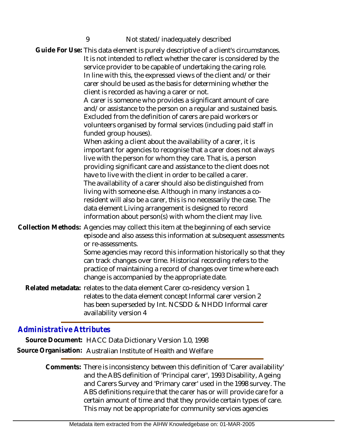| Guide For Use: This data element is purely descriptive of a client's circumstances.<br>It is not intended to reflect whether the carer is considered by the<br>service provider to be capable of undertaking the caring role.<br>In line with this, the expressed views of the client and/or their<br>carer should be used as the basis for determining whether the<br>client is recorded as having a carer or not.<br>A carer is someone who provides a significant amount of care<br>and/or assistance to the person on a regular and sustained basis.<br>Excluded from the definition of carers are paid workers or<br>volunteers organised by formal services (including paid staff in |
|--------------------------------------------------------------------------------------------------------------------------------------------------------------------------------------------------------------------------------------------------------------------------------------------------------------------------------------------------------------------------------------------------------------------------------------------------------------------------------------------------------------------------------------------------------------------------------------------------------------------------------------------------------------------------------------------|
| funded group houses).<br>When asking a client about the availability of a carer, it is<br>important for agencies to recognise that a carer does not always<br>live with the person for whom they care. That is, a person<br>providing significant care and assistance to the client does not<br>have to live with the client in order to be called a carer.<br>The availability of a carer should also be distinguished from<br>living with someone else. Although in many instances a co-<br>resident will also be a carer, this is no necessarily the case. The<br>data element Living arrangement is designed to record<br>information about person(s) with whom the client may live.   |
| Collection Methods: Agencies may collect this item at the beginning of each service<br>episode and also assess this information at subsequent assessments<br>or re-assessments.<br>Some agencies may record this information historically so that they<br>can track changes over time. Historical recording refers to the<br>practice of maintaining a record of changes over time where each<br>change is accompanied by the appropriate date.                                                                                                                                                                                                                                            |
| Related metadata: relates to the data element Carer co-residency version 1<br>relates to the data element concept Informal carer version 2<br>has been superseded by Int. NCSDD & NHDD Informal carer<br>availability version 4                                                                                                                                                                                                                                                                                                                                                                                                                                                            |

## *Administrative Attributes*

**Source Document:** HACC Data Dictionary Version 1.0, 1998 **Source Organisation:** Australian Institute of Health and Welfare

> Comments: There is inconsistency between this definition of 'Carer availability' and the ABS definition of 'Principal carer', 1993 Disability, Ageing and Carers Survey and 'Primary carer' used in the 1998 survey. The ABS definitions require that the carer has or will provide care for a certain amount of time and that they provide certain types of care. This may not be appropriate for community services agencies